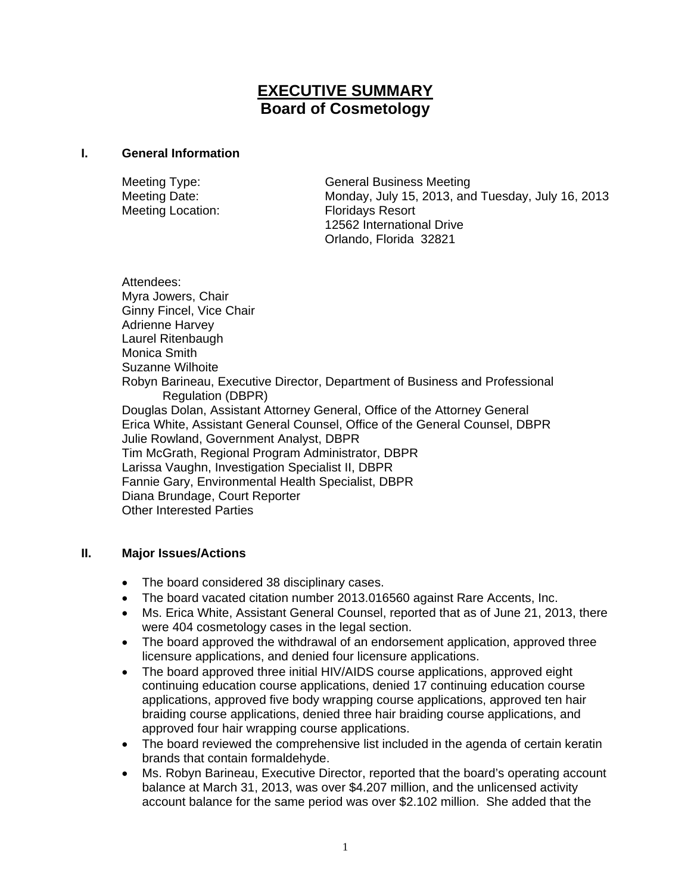# **EXECUTIVE SUMMARY Board of Cosmetology**

#### **I. General Information**

Meeting Location: Floridays Resort

Meeting Type: General Business Meeting Meeting Date: Monday, July 15, 2013, and Tuesday, July 16, 2013 12562 International Drive Orlando, Florida 32821

Attendees: Myra Jowers, Chair Ginny Fincel, Vice Chair Adrienne Harvey Laurel Ritenbaugh Monica Smith Suzanne Wilhoite Robyn Barineau, Executive Director, Department of Business and Professional Regulation (DBPR) Douglas Dolan, Assistant Attorney General, Office of the Attorney General Erica White, Assistant General Counsel, Office of the General Counsel, DBPR Julie Rowland, Government Analyst, DBPR Tim McGrath, Regional Program Administrator, DBPR Larissa Vaughn, Investigation Specialist II, DBPR Fannie Gary, Environmental Health Specialist, DBPR Diana Brundage, Court Reporter Other Interested Parties

## **II. Major Issues/Actions**

- The board considered 38 disciplinary cases.
- The board vacated citation number 2013.016560 against Rare Accents, Inc.
- Ms. Erica White, Assistant General Counsel, reported that as of June 21, 2013, there were 404 cosmetology cases in the legal section.
- The board approved the withdrawal of an endorsement application, approved three licensure applications, and denied four licensure applications.
- The board approved three initial HIV/AIDS course applications, approved eight continuing education course applications, denied 17 continuing education course applications, approved five body wrapping course applications, approved ten hair braiding course applications, denied three hair braiding course applications, and approved four hair wrapping course applications.
- The board reviewed the comprehensive list included in the agenda of certain keratin brands that contain formaldehyde.
- Ms. Robyn Barineau, Executive Director, reported that the board's operating account balance at March 31, 2013, was over \$4.207 million, and the unlicensed activity account balance for the same period was over \$2.102 million. She added that the